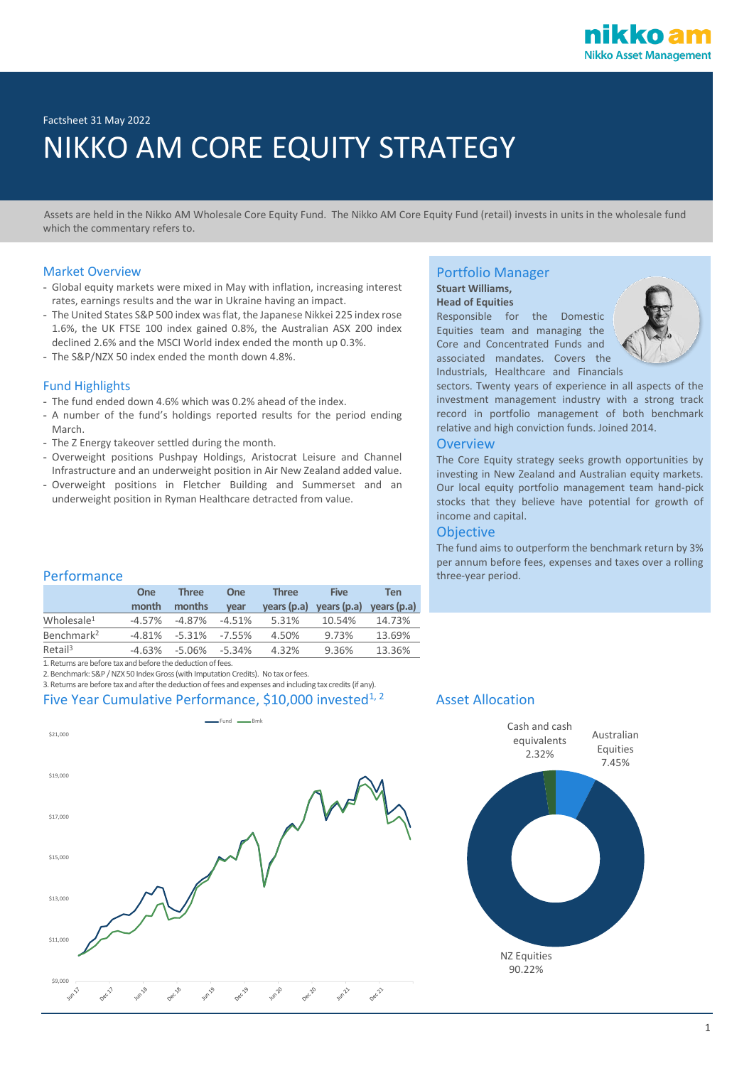Factsheet 31 May 2022

# NIKKO AM CORE EQUITY STRATEGY

 Assets are held in the Nikko AM Wholesale Core Equity Fund. The Nikko AM Core Equity Fund (retail) invests in units in the wholesale fund which the commentary refers to.

# Market Overview

- **-** Global equity markets were mixed in May with inflation, increasing interest rates, earnings results and the war in Ukraine having an impact.
- **-** The United States S&P 500 index was flat, the Japanese Nikkei 225 index rose 1.6%, the UK FTSE 100 index gained 0.8%, the Australian ASX 200 index declined 2.6% and the MSCI World index ended the month up 0.3%.
- **-** The S&P/NZX 50 index ended the month down 4.8%.

# Fund Highlights

- **-** The fund ended down 4.6% which was 0.2% ahead of the index.
- **-** A number of the fund's holdings reported results for the period ending March.
- **-** The Z Energy takeover settled during the month.
- **-** Overweight positions Pushpay Holdings, Aristocrat Leisure and Channel Infrastructure and an underweight position in Air New Zealand added value.
- **-** Overweight positions in Fletcher Building and Summerset and an underweight position in Ryman Healthcare detracted from value.

# Portfolio Manager

### **Stuart Williams, Head of Equities**

Responsible for the Domestic Equities team and managing the Core and Concentrated Funds and associated mandates. Covers the Industrials, Healthcare and Financials



sectors. Twenty years of experience in all aspects of the investment management industry with a strong track record in portfolio management of both benchmark relative and high conviction funds. Joined 2014.

### **Overview**

The Core Equity strategy seeks growth opportunities by investing in New Zealand and Australian equity markets. Our local equity portfolio management team hand-pick stocks that they believe have potential for growth of income and capital.

# **Objective**

The fund aims to outperform the benchmark return by 3% per annum before fees, expenses and taxes over a rolling Performance **three-year period.** The experiment of three-year period.

|                        | One       | <b>Three</b> | <b>One</b> | <b>Three</b> | <b>Five</b> | Ten         |
|------------------------|-----------|--------------|------------|--------------|-------------|-------------|
|                        | month     | months       | vear       | years (p.a)  | years (p.a) | years (p.a) |
| Wholesale <sup>1</sup> | $-4.57%$  | $-4.87%$     | $-4.51%$   | 5.31%        | 10.54%      | 14.73%      |
| Benchmark <sup>2</sup> | $-4.81%$  | $-5.31%$     | $-7.55%$   | 4.50%        | 9.73%       | 13.69%      |
| Retail <sup>3</sup>    | $-4.63\%$ | -5.06%       | $-5.34%$   | 4.32%        | 9.36%       | 13.36%      |

1. Returns are before tax and before the deduction of fees.

2. Benchmark: S&P / NZX 50 Index Gross (with Imputation Credits). No tax or fees.

3. Returns are before tax and after the deduction of fees and expenses and including tax credits (if any). Five Year Cumulative Performance, \$10,000 invested<sup>1, 2</sup> Asset Allocation